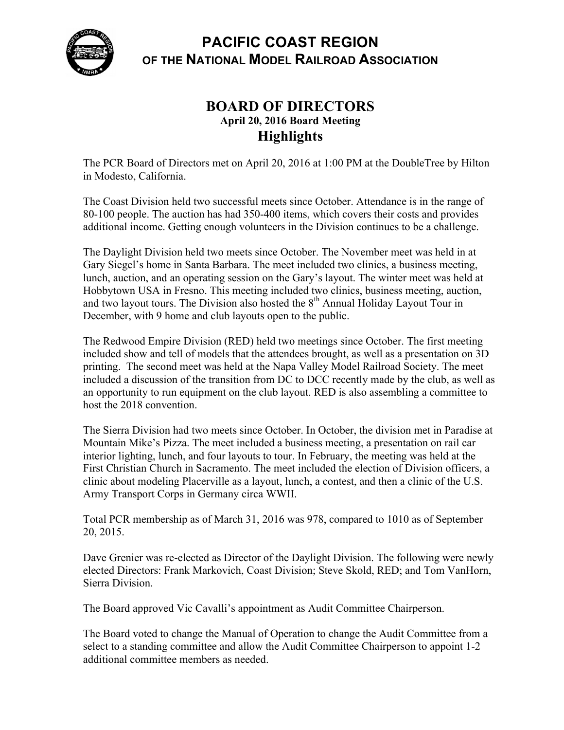

## **PACIFIC COAST REGION OF THE NATIONAL MODEL RAILROAD ASSOCIATION**

## **BOARD OF DIRECTORS April 20, 2016 Board Meeting Highlights**

The PCR Board of Directors met on April 20, 2016 at 1:00 PM at the DoubleTree by Hilton in Modesto, California.

The Coast Division held two successful meets since October. Attendance is in the range of 80-100 people. The auction has had 350-400 items, which covers their costs and provides additional income. Getting enough volunteers in the Division continues to be a challenge.

The Daylight Division held two meets since October. The November meet was held in at Gary Siegel's home in Santa Barbara. The meet included two clinics, a business meeting, lunch, auction, and an operating session on the Gary's layout. The winter meet was held at Hobbytown USA in Fresno. This meeting included two clinics, business meeting, auction, and two layout tours. The Division also hosted the  $8<sup>th</sup>$  Annual Holiday Layout Tour in December, with 9 home and club layouts open to the public.

The Redwood Empire Division (RED) held two meetings since October. The first meeting included show and tell of models that the attendees brought, as well as a presentation on 3D printing. The second meet was held at the Napa Valley Model Railroad Society. The meet included a discussion of the transition from DC to DCC recently made by the club, as well as an opportunity to run equipment on the club layout. RED is also assembling a committee to host the 2018 convention.

The Sierra Division had two meets since October. In October, the division met in Paradise at Mountain Mike's Pizza. The meet included a business meeting, a presentation on rail car interior lighting, lunch, and four layouts to tour. In February, the meeting was held at the First Christian Church in Sacramento. The meet included the election of Division officers, a clinic about modeling Placerville as a layout, lunch, a contest, and then a clinic of the U.S. Army Transport Corps in Germany circa WWII.

Total PCR membership as of March 31, 2016 was 978, compared to 1010 as of September 20, 2015.

Dave Grenier was re-elected as Director of the Daylight Division. The following were newly elected Directors: Frank Markovich, Coast Division; Steve Skold, RED; and Tom VanHorn, Sierra Division.

The Board approved Vic Cavalli's appointment as Audit Committee Chairperson.

The Board voted to change the Manual of Operation to change the Audit Committee from a select to a standing committee and allow the Audit Committee Chairperson to appoint 1-2 additional committee members as needed.